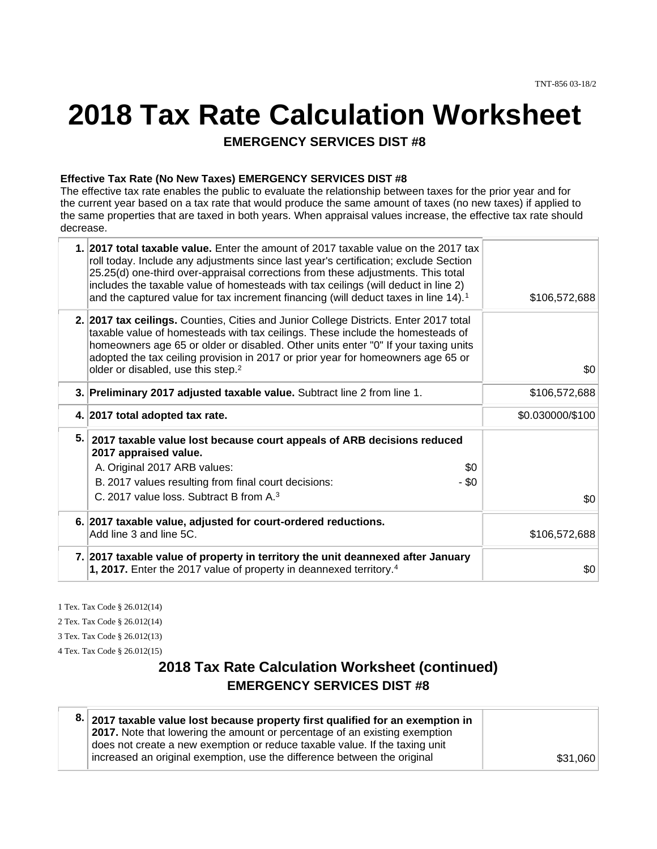# **2018 Tax Rate Calculation Worksheet**

**EMERGENCY SERVICES DIST #8** 

#### **Effective Tax Rate (No New Taxes) EMERGENCY SERVICES DIST #8**

The effective tax rate enables the public to evaluate the relationship between taxes for the prior year and for the current year based on a tax rate that would produce the same amount of taxes (no new taxes) if applied to the same properties that are taxed in both years. When appraisal values increase, the effective tax rate should decrease.

|    | 1. 2017 total taxable value. Enter the amount of 2017 taxable value on the 2017 tax<br>roll today. Include any adjustments since last year's certification; exclude Section<br>25.25(d) one-third over-appraisal corrections from these adjustments. This total<br>includes the taxable value of homesteads with tax ceilings (will deduct in line 2)<br>and the captured value for tax increment financing (will deduct taxes in line 14). <sup>1</sup> | \$106,572,688    |
|----|----------------------------------------------------------------------------------------------------------------------------------------------------------------------------------------------------------------------------------------------------------------------------------------------------------------------------------------------------------------------------------------------------------------------------------------------------------|------------------|
|    | 2. 2017 tax ceilings. Counties, Cities and Junior College Districts. Enter 2017 total<br>taxable value of homesteads with tax ceilings. These include the homesteads of<br>homeowners age 65 or older or disabled. Other units enter "0" If your taxing units<br>adopted the tax ceiling provision in 2017 or prior year for homeowners age 65 or<br>older or disabled, use this step. <sup>2</sup>                                                      | \$0              |
|    | 3. Preliminary 2017 adjusted taxable value. Subtract line 2 from line 1.                                                                                                                                                                                                                                                                                                                                                                                 | \$106,572,688    |
|    | 4. 2017 total adopted tax rate.                                                                                                                                                                                                                                                                                                                                                                                                                          | \$0.030000/\$100 |
| 5. | 2017 taxable value lost because court appeals of ARB decisions reduced<br>2017 appraised value.<br>A. Original 2017 ARB values:<br>\$0<br>B. 2017 values resulting from final court decisions:<br>- \$0                                                                                                                                                                                                                                                  |                  |
|    | C. 2017 value loss. Subtract B from A. <sup>3</sup>                                                                                                                                                                                                                                                                                                                                                                                                      | \$0              |
|    | 6. 2017 taxable value, adjusted for court-ordered reductions.<br>Add line 3 and line 5C.                                                                                                                                                                                                                                                                                                                                                                 | \$106,572,688    |
|    | 7. 2017 taxable value of property in territory the unit deannexed after January<br>1, 2017. Enter the 2017 value of property in deannexed territory. <sup>4</sup>                                                                                                                                                                                                                                                                                        | \$0              |

1 Tex. Tax Code § 26.012(14)

2 Tex. Tax Code § 26.012(14)

3 Tex. Tax Code § 26.012(13)

4 Tex. Tax Code § 26.012(15)

## **2018 Tax Rate Calculation Worksheet (continued) EMERGENCY SERVICES DIST #8**

| 8. 2017 taxable value lost because property first qualified for an exemption in   |          |
|-----------------------------------------------------------------------------------|----------|
| <b>2017.</b> Note that lowering the amount or percentage of an existing exemption |          |
| does not create a new exemption or reduce taxable value. If the taxing unit       |          |
| increased an original exemption, use the difference between the original          | \$31,060 |
|                                                                                   |          |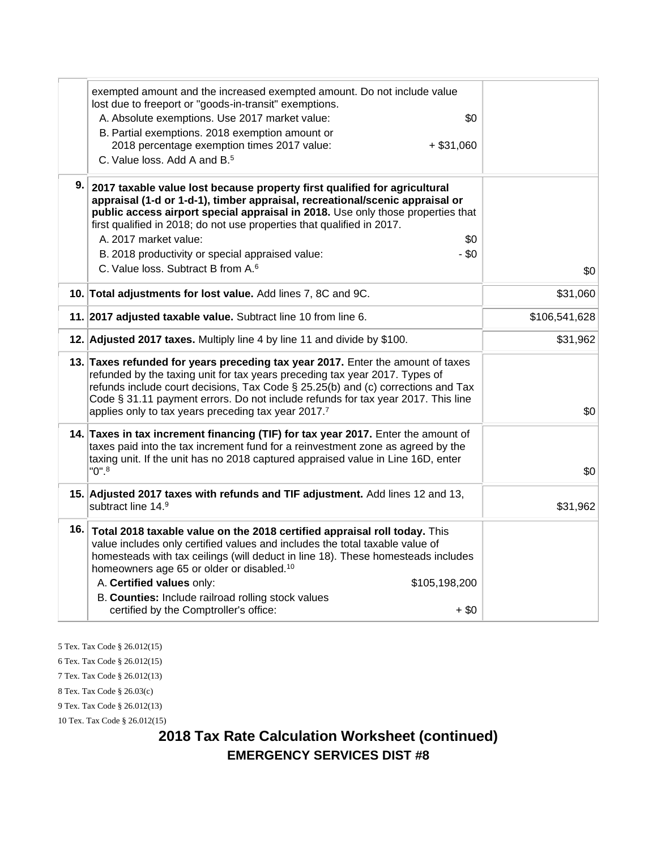|     | exempted amount and the increased exempted amount. Do not include value<br>lost due to freeport or "goods-in-transit" exemptions.                                                                                                                                                                                                                                                             |               |
|-----|-----------------------------------------------------------------------------------------------------------------------------------------------------------------------------------------------------------------------------------------------------------------------------------------------------------------------------------------------------------------------------------------------|---------------|
|     | A. Absolute exemptions. Use 2017 market value:<br>\$0                                                                                                                                                                                                                                                                                                                                         |               |
|     | B. Partial exemptions. 2018 exemption amount or                                                                                                                                                                                                                                                                                                                                               |               |
|     | 2018 percentage exemption times 2017 value:<br>$+$ \$31,060                                                                                                                                                                                                                                                                                                                                   |               |
|     | C. Value loss, Add A and B. <sup>5</sup>                                                                                                                                                                                                                                                                                                                                                      |               |
| 9.  | 2017 taxable value lost because property first qualified for agricultural<br>appraisal (1-d or 1-d-1), timber appraisal, recreational/scenic appraisal or<br>public access airport special appraisal in 2018. Use only those properties that<br>first qualified in 2018; do not use properties that qualified in 2017.                                                                        |               |
|     | A. 2017 market value:<br>\$0                                                                                                                                                                                                                                                                                                                                                                  |               |
|     | $-$ \$0<br>B. 2018 productivity or special appraised value:                                                                                                                                                                                                                                                                                                                                   |               |
|     | C. Value loss. Subtract B from A. <sup>6</sup>                                                                                                                                                                                                                                                                                                                                                | \$0           |
|     | 10. Total adjustments for lost value. Add lines 7, 8C and 9C.                                                                                                                                                                                                                                                                                                                                 | \$31,060      |
|     | 11. 2017 adjusted taxable value. Subtract line 10 from line 6.                                                                                                                                                                                                                                                                                                                                | \$106,541,628 |
|     | 12. Adjusted 2017 taxes. Multiply line 4 by line 11 and divide by \$100.                                                                                                                                                                                                                                                                                                                      | \$31,962      |
|     | 13. Taxes refunded for years preceding tax year 2017. Enter the amount of taxes<br>refunded by the taxing unit for tax years preceding tax year 2017. Types of<br>refunds include court decisions, Tax Code § 25.25(b) and (c) corrections and Tax<br>Code § 31.11 payment errors. Do not include refunds for tax year 2017. This line<br>applies only to tax years preceding tax year 2017.7 | \$0           |
|     | 14. Taxes in tax increment financing (TIF) for tax year 2017. Enter the amount of<br>taxes paid into the tax increment fund for a reinvestment zone as agreed by the<br>taxing unit. If the unit has no 2018 captured appraised value in Line 16D, enter<br>$"0"$ .                                                                                                                           | \$0           |
|     | 15. Adjusted 2017 taxes with refunds and TIF adjustment. Add lines 12 and 13,<br>subtract line 14.9                                                                                                                                                                                                                                                                                           | \$31,962      |
| 16. | Total 2018 taxable value on the 2018 certified appraisal roll today. This<br>value includes only certified values and includes the total taxable value of<br>homesteads with tax ceilings (will deduct in line 18). These homesteads includes<br>homeowners age 65 or older or disabled. <sup>10</sup>                                                                                        |               |
|     | A. Certified values only:<br>\$105,198,200                                                                                                                                                                                                                                                                                                                                                    |               |
|     | B. Counties: Include railroad rolling stock values<br>certified by the Comptroller's office:<br>$+$ \$0                                                                                                                                                                                                                                                                                       |               |
|     |                                                                                                                                                                                                                                                                                                                                                                                               |               |

5 Tex. Tax Code § 26.012(15) 6 Tex. Tax Code § 26.012(15) 7 Tex. Tax Code § 26.012(13) 8 Tex. Tax Code § 26.03(c) 9 Tex. Tax Code § 26.012(13) 10 Tex. Tax Code § 26.012(15)

> **2018 Tax Rate Calculation Worksheet (continued) EMERGENCY SERVICES DIST #8**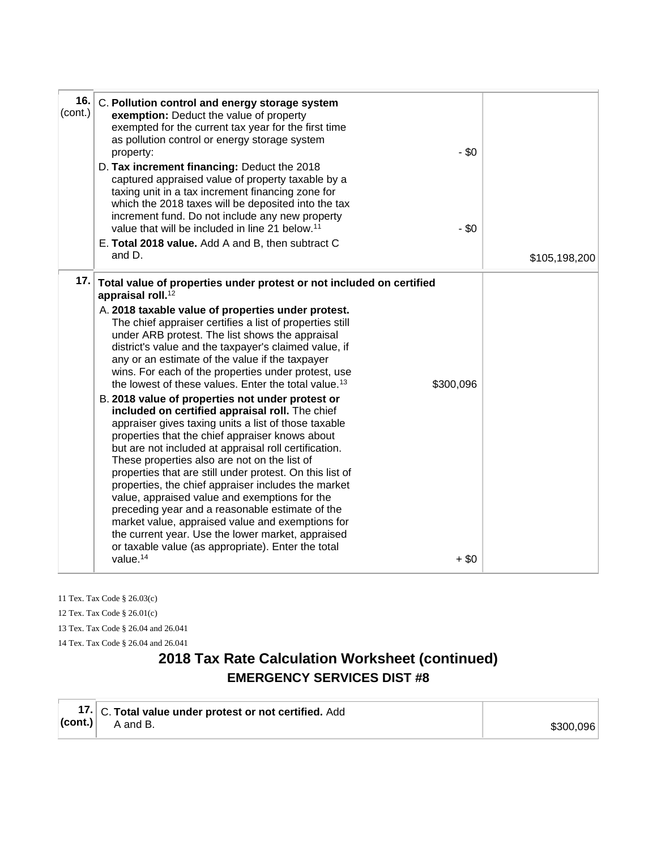| 16.<br>(cont.) | C. Pollution control and energy storage system<br>exemption: Deduct the value of property<br>exempted for the current tax year for the first time<br>as pollution control or energy storage system<br>$-$ \$0<br>property:<br>D. Tax increment financing: Deduct the 2018<br>captured appraised value of property taxable by a<br>taxing unit in a tax increment financing zone for<br>which the 2018 taxes will be deposited into the tax                                                                                                                                                                                                                                                                                                                                                                                                                                                                                                                                                                                                                                                                                                                                                                                                                                         |               |
|----------------|------------------------------------------------------------------------------------------------------------------------------------------------------------------------------------------------------------------------------------------------------------------------------------------------------------------------------------------------------------------------------------------------------------------------------------------------------------------------------------------------------------------------------------------------------------------------------------------------------------------------------------------------------------------------------------------------------------------------------------------------------------------------------------------------------------------------------------------------------------------------------------------------------------------------------------------------------------------------------------------------------------------------------------------------------------------------------------------------------------------------------------------------------------------------------------------------------------------------------------------------------------------------------------|---------------|
|                | increment fund. Do not include any new property<br>value that will be included in line 21 below. <sup>11</sup><br>$-$ \$0<br>E. Total 2018 value. Add A and B, then subtract C<br>and D.                                                                                                                                                                                                                                                                                                                                                                                                                                                                                                                                                                                                                                                                                                                                                                                                                                                                                                                                                                                                                                                                                           | \$105,198,200 |
| 17.            | Total value of properties under protest or not included on certified<br>appraisal roll. <sup>12</sup><br>A. 2018 taxable value of properties under protest.<br>The chief appraiser certifies a list of properties still<br>under ARB protest. The list shows the appraisal<br>district's value and the taxpayer's claimed value, if<br>any or an estimate of the value if the taxpayer<br>wins. For each of the properties under protest, use<br>the lowest of these values. Enter the total value. <sup>13</sup><br>\$300,096<br>B. 2018 value of properties not under protest or<br>included on certified appraisal roll. The chief<br>appraiser gives taxing units a list of those taxable<br>properties that the chief appraiser knows about<br>but are not included at appraisal roll certification.<br>These properties also are not on the list of<br>properties that are still under protest. On this list of<br>properties, the chief appraiser includes the market<br>value, appraised value and exemptions for the<br>preceding year and a reasonable estimate of the<br>market value, appraised value and exemptions for<br>the current year. Use the lower market, appraised<br>or taxable value (as appropriate). Enter the total<br>value. <sup>14</sup><br>$+$ \$0 |               |

11 Tex. Tax Code § 26.03(c) 12 Tex. Tax Code § 26.01(c) 13 Tex. Tax Code § 26.04 and 26.041 14 Tex. Tax Code § 26.04 and 26.041

## **2018 Tax Rate Calculation Worksheet (continued) EMERGENCY SERVICES DIST #8**

|                       | 17. C. Total value under protest or not certified. Add |           |
|-----------------------|--------------------------------------------------------|-----------|
| $ _{\text{(cont.)}} $ | A and B.                                               | \$300,096 |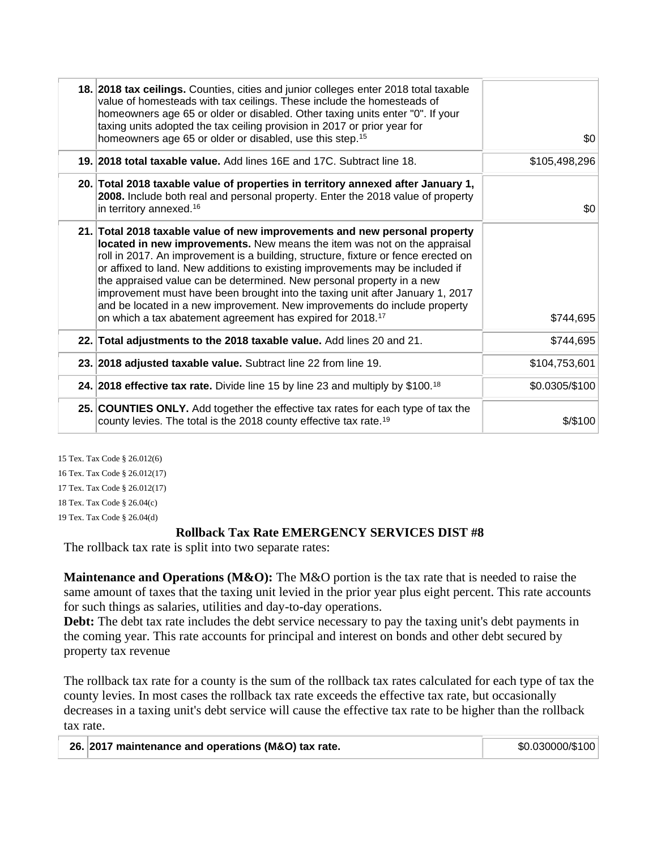| 18. 2018 tax ceilings. Counties, cities and junior colleges enter 2018 total taxable<br>value of homesteads with tax ceilings. These include the homesteads of<br>homeowners age 65 or older or disabled. Other taxing units enter "0". If your<br>taxing units adopted the tax ceiling provision in 2017 or prior year for<br>homeowners age 65 or older or disabled, use this step. <sup>15</sup>                                                                                                                                                                                                                                            | \$0            |
|------------------------------------------------------------------------------------------------------------------------------------------------------------------------------------------------------------------------------------------------------------------------------------------------------------------------------------------------------------------------------------------------------------------------------------------------------------------------------------------------------------------------------------------------------------------------------------------------------------------------------------------------|----------------|
| 19. 2018 total taxable value. Add lines 16E and 17C. Subtract line 18.                                                                                                                                                                                                                                                                                                                                                                                                                                                                                                                                                                         | \$105,498,296  |
| 20. Total 2018 taxable value of properties in territory annexed after January 1,<br>2008. Include both real and personal property. Enter the 2018 value of property<br>in territory annexed. <sup>16</sup>                                                                                                                                                                                                                                                                                                                                                                                                                                     | \$0            |
| 21. Total 2018 taxable value of new improvements and new personal property<br>located in new improvements. New means the item was not on the appraisal<br>roll in 2017. An improvement is a building, structure, fixture or fence erected on<br>or affixed to land. New additions to existing improvements may be included if<br>the appraised value can be determined. New personal property in a new<br>improvement must have been brought into the taxing unit after January 1, 2017<br>and be located in a new improvement. New improvements do include property<br>on which a tax abatement agreement has expired for 2018. <sup>17</sup> | \$744,695      |
| 22. Total adjustments to the 2018 taxable value. Add lines 20 and 21.                                                                                                                                                                                                                                                                                                                                                                                                                                                                                                                                                                          | \$744,695      |
| 23. 2018 adjusted taxable value. Subtract line 22 from line 19.                                                                                                                                                                                                                                                                                                                                                                                                                                                                                                                                                                                | \$104,753,601  |
| 24. 2018 effective tax rate. Divide line 15 by line 23 and multiply by \$100. <sup>18</sup>                                                                                                                                                                                                                                                                                                                                                                                                                                                                                                                                                    | \$0.0305/\$100 |
| 25. COUNTIES ONLY. Add together the effective tax rates for each type of tax the<br>county levies. The total is the 2018 county effective tax rate. <sup>19</sup>                                                                                                                                                                                                                                                                                                                                                                                                                                                                              | $$$ / $$$ 100  |
|                                                                                                                                                                                                                                                                                                                                                                                                                                                                                                                                                                                                                                                |                |

15 Tex. Tax Code § 26.012(6) 16 Tex. Tax Code § 26.012(17) 17 Tex. Tax Code § 26.012(17) 18 Tex. Tax Code § 26.04(c) 19 Tex. Tax Code § 26.04(d)

#### **Rollback Tax Rate EMERGENCY SERVICES DIST #8**

The rollback tax rate is split into two separate rates:

Maintenance and Operations (M&O): The M&O portion is the tax rate that is needed to raise the same amount of taxes that the taxing unit levied in the prior year plus eight percent. This rate accounts for such things as salaries, utilities and day-to-day operations.

**Debt:** The debt tax rate includes the debt service necessary to pay the taxing unit's debt payments in the coming year. This rate accounts for principal and interest on bonds and other debt secured by property tax revenue

The rollback tax rate for a county is the sum of the rollback tax rates calculated for each type of tax the county levies. In most cases the rollback tax rate exceeds the effective tax rate, but occasionally decreases in a taxing unit's debt service will cause the effective tax rate to be higher than the rollback tax rate.

| 26. 2017 maintenance and operations (M&O) tax rate. | \$0.030000/\$100 |
|-----------------------------------------------------|------------------|
|-----------------------------------------------------|------------------|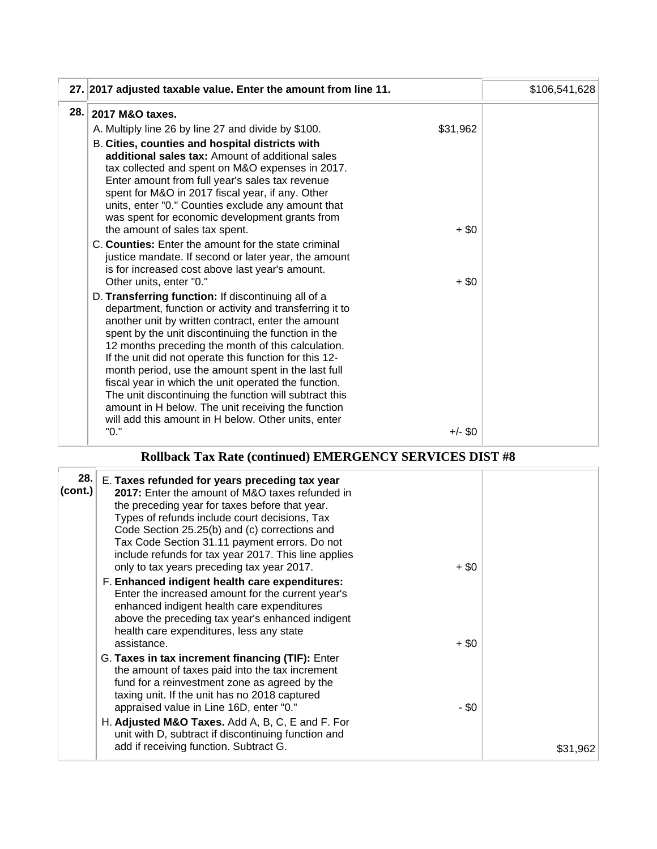|      | 27. 2017 adjusted taxable value. Enter the amount from line 11.                                                                                                                                                                                                                                                                                                                                                                                                                                                                                                                                                                   |           | \$106,541,628 |
|------|-----------------------------------------------------------------------------------------------------------------------------------------------------------------------------------------------------------------------------------------------------------------------------------------------------------------------------------------------------------------------------------------------------------------------------------------------------------------------------------------------------------------------------------------------------------------------------------------------------------------------------------|-----------|---------------|
| 28.1 | 2017 M&O taxes.                                                                                                                                                                                                                                                                                                                                                                                                                                                                                                                                                                                                                   |           |               |
|      | A. Multiply line 26 by line 27 and divide by \$100.                                                                                                                                                                                                                                                                                                                                                                                                                                                                                                                                                                               | \$31,962  |               |
|      | B. Cities, counties and hospital districts with<br>additional sales tax: Amount of additional sales<br>tax collected and spent on M&O expenses in 2017.<br>Enter amount from full year's sales tax revenue<br>spent for M&O in 2017 fiscal year, if any. Other<br>units, enter "0." Counties exclude any amount that<br>was spent for economic development grants from<br>the amount of sales tax spent.                                                                                                                                                                                                                          | $+$ \$0   |               |
|      | C. Counties: Enter the amount for the state criminal<br>justice mandate. If second or later year, the amount<br>is for increased cost above last year's amount.<br>Other units, enter "0."                                                                                                                                                                                                                                                                                                                                                                                                                                        | $+ $0$    |               |
|      | D. Transferring function: If discontinuing all of a<br>department, function or activity and transferring it to<br>another unit by written contract, enter the amount<br>spent by the unit discontinuing the function in the<br>12 months preceding the month of this calculation.<br>If the unit did not operate this function for this 12-<br>month period, use the amount spent in the last full<br>fiscal year in which the unit operated the function.<br>The unit discontinuing the function will subtract this<br>amount in H below. The unit receiving the function<br>will add this amount in H below. Other units, enter |           |               |
|      | "0."                                                                                                                                                                                                                                                                                                                                                                                                                                                                                                                                                                                                                              | $+/-$ \$0 |               |

## **Rollback Tax Rate (continued) EMERGENCY SERVICES DIST #8**

| (cont.) | 28. E. Taxes refunded for years preceding tax year<br>2017: Enter the amount of M&O taxes refunded in<br>the preceding year for taxes before that year.<br>Types of refunds include court decisions, Tax<br>Code Section 25.25(b) and (c) corrections and<br>Tax Code Section 31.11 payment errors. Do not<br>include refunds for tax year 2017. This line applies<br>only to tax years preceding tax year 2017. | $+$ \$0 |          |
|---------|------------------------------------------------------------------------------------------------------------------------------------------------------------------------------------------------------------------------------------------------------------------------------------------------------------------------------------------------------------------------------------------------------------------|---------|----------|
|         | F. Enhanced indigent health care expenditures:<br>Enter the increased amount for the current year's<br>enhanced indigent health care expenditures<br>above the preceding tax year's enhanced indigent<br>health care expenditures, less any state<br>assistance.                                                                                                                                                 | $+$ \$0 |          |
|         | G. Taxes in tax increment financing (TIF): Enter<br>the amount of taxes paid into the tax increment<br>fund for a reinvestment zone as agreed by the<br>taxing unit. If the unit has no 2018 captured<br>appraised value in Line 16D, enter "0."                                                                                                                                                                 | - \$0   |          |
|         | H. Adjusted M&O Taxes. Add A, B, C, E and F. For<br>unit with D, subtract if discontinuing function and<br>add if receiving function. Subtract G.                                                                                                                                                                                                                                                                |         | \$31,962 |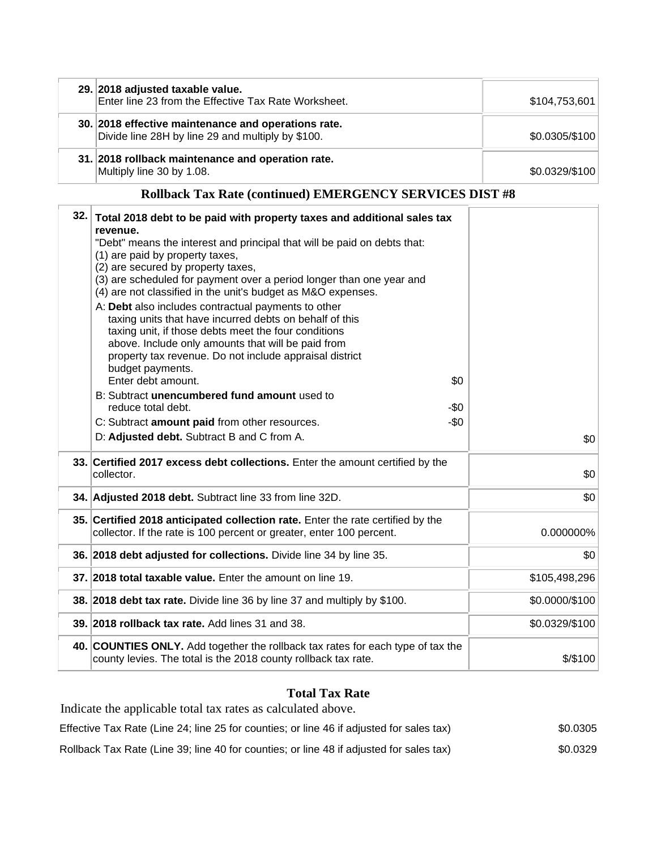| 29. 2018 adjusted taxable value.<br>Enter line 23 from the Effective Tax Rate Worksheet.                 | \$104,753,601  |
|----------------------------------------------------------------------------------------------------------|----------------|
| 30. 2018 effective maintenance and operations rate.<br>Divide line 28H by line 29 and multiply by \$100. | \$0.0305/\$100 |
| 31. 2018 rollback maintenance and operation rate.<br>Multiply line 30 by 1.08.                           | \$0.0329/\$100 |

#### **Rollback Tax Rate (continued) EMERGENCY SERVICES DIST #8**

| 32. | Total 2018 debt to be paid with property taxes and additional sales tax<br>revenue.<br>"Debt" means the interest and principal that will be paid on debts that:<br>(1) are paid by property taxes,<br>(2) are secured by property taxes,<br>(3) are scheduled for payment over a period longer than one year and<br>(4) are not classified in the unit's budget as M&O expenses.<br>A: Debt also includes contractual payments to other<br>taxing units that have incurred debts on behalf of this<br>taxing unit, if those debts meet the four conditions<br>above. Include only amounts that will be paid from<br>property tax revenue. Do not include appraisal district |                |
|-----|-----------------------------------------------------------------------------------------------------------------------------------------------------------------------------------------------------------------------------------------------------------------------------------------------------------------------------------------------------------------------------------------------------------------------------------------------------------------------------------------------------------------------------------------------------------------------------------------------------------------------------------------------------------------------------|----------------|
|     | budget payments.<br>Enter debt amount.<br>\$0                                                                                                                                                                                                                                                                                                                                                                                                                                                                                                                                                                                                                               |                |
|     | B: Subtract unencumbered fund amount used to<br>reduce total debt.<br>-\$0                                                                                                                                                                                                                                                                                                                                                                                                                                                                                                                                                                                                  |                |
|     | $-\$0$<br>C: Subtract amount paid from other resources.                                                                                                                                                                                                                                                                                                                                                                                                                                                                                                                                                                                                                     |                |
|     | D: Adjusted debt. Subtract B and C from A.                                                                                                                                                                                                                                                                                                                                                                                                                                                                                                                                                                                                                                  | \$0            |
|     | 33. Certified 2017 excess debt collections. Enter the amount certified by the<br>collector.                                                                                                                                                                                                                                                                                                                                                                                                                                                                                                                                                                                 | \$0            |
|     | 34. Adjusted 2018 debt. Subtract line 33 from line 32D.                                                                                                                                                                                                                                                                                                                                                                                                                                                                                                                                                                                                                     | \$0            |
|     | 35. Certified 2018 anticipated collection rate. Enter the rate certified by the<br>collector. If the rate is 100 percent or greater, enter 100 percent.                                                                                                                                                                                                                                                                                                                                                                                                                                                                                                                     | 0.000000%      |
|     | 36. 2018 debt adjusted for collections. Divide line 34 by line 35.                                                                                                                                                                                                                                                                                                                                                                                                                                                                                                                                                                                                          | \$0            |
|     | 37. 2018 total taxable value. Enter the amount on line 19.                                                                                                                                                                                                                                                                                                                                                                                                                                                                                                                                                                                                                  | \$105,498,296  |
|     | 38. 2018 debt tax rate. Divide line 36 by line 37 and multiply by \$100.                                                                                                                                                                                                                                                                                                                                                                                                                                                                                                                                                                                                    | \$0.0000/\$100 |
|     | 39. 2018 rollback tax rate. Add lines 31 and 38.                                                                                                                                                                                                                                                                                                                                                                                                                                                                                                                                                                                                                            | \$0.0329/\$100 |
|     | 40. COUNTIES ONLY. Add together the rollback tax rates for each type of tax the<br>county levies. The total is the 2018 county rollback tax rate.                                                                                                                                                                                                                                                                                                                                                                                                                                                                                                                           | $$$ /\$100     |

#### **Total Tax Rate**

Indicate the applicable total tax rates as calculated above. Effective Tax Rate (Line 24; line 25 for counties; or line 46 if adjusted for sales tax) \$0.0305 Rollback Tax Rate (Line 39; line 40 for counties; or line 48 if adjusted for sales tax) \$0.0329